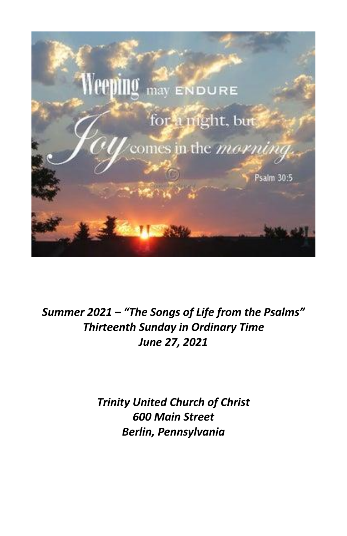

*Summer 2021 – "The Songs of Life from the Psalms" Thirteenth Sunday in Ordinary Time June 27, 2021*

> *Trinity United Church of Christ 600 Main Street Berlin, Pennsylvania*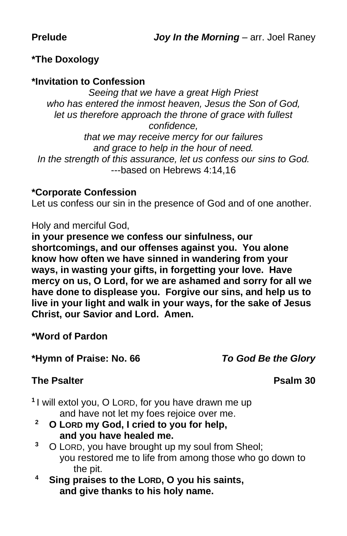#### **\*The Doxology**

#### **\*Invitation to Confession**

*Seeing that we have a great High Priest who has entered the inmost heaven, Jesus the Son of God, let us therefore approach the throne of grace with fullest confidence, that we may receive mercy for our failures*

*and grace to help in the hour of need. In the strength of this assurance, let us confess our sins to God.* ---based on Hebrews 4:14,16

#### **\*Corporate Confession**

Let us confess our sin in the presence of God and of one another.

Holy and merciful God,

**in your presence we confess our sinfulness, our shortcomings, and our offenses against you. You alone know how often we have sinned in wandering from your ways, in wasting your gifts, in forgetting your love. Have mercy on us, O Lord, for we are ashamed and sorry for all we have done to displease you. Forgive our sins, and help us to live in your light and walk in your ways, for the sake of Jesus Christ, our Savior and Lord. Amen.**

**\*Word of Pardon**

#### **\*Hymn of Praise: No. 66** *To God Be the Glory*

#### **The Psalter Psalm 30**

- **1** I will extol you, O LORD, for you have drawn me up and have not let my foes rejoice over me.
- **<sup>2</sup> O LORD my God, I cried to you for help, and you have healed me.**
- **<sup>3</sup>** O LORD, you have brought up my soul from Sheol; you restored me to life from among those who go down to the pit.
- **<sup>4</sup> Sing praises to the LORD, O you his saints, and give thanks to his holy name.**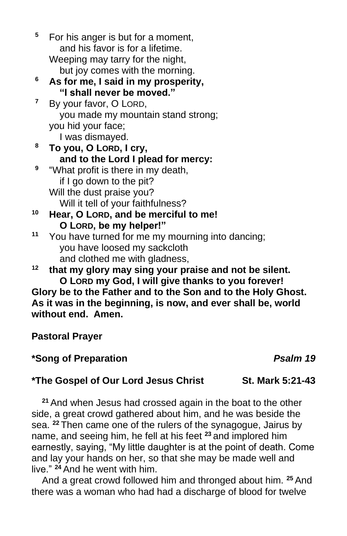**<sup>5</sup>** For his anger is but for a moment, and his favor is for a lifetime. Weeping may tarry for the night, but joy comes with the morning.

- **<sup>6</sup> As for me, I said in my prosperity, "I shall never be moved."**
- **<sup>7</sup>** By your favor, O LORD, you made my mountain stand strong; you hid your face;

I was dismayed.

- **<sup>8</sup> To you, O LORD, I cry, and to the Lord I plead for mercy: 9** "What profit is there in my death,
	- if I go down to the pit? Will the dust praise you? Will it tell of your faithfulness?
- **<sup>10</sup> Hear, O LORD, and be merciful to me! O LORD, be my helper!"**
- **<sup>11</sup>** You have turned for me my mourning into dancing; you have loosed my sackcloth and clothed me with gladness,

**<sup>12</sup> that my glory may sing your praise and not be silent. O LORD my God, I will give thanks to you forever! Glory be to the Father and to the Son and to the Holy Ghost.**

**As it was in the beginning, is now, and ever shall be, world without end. Amen.**

**Pastoral Prayer**

# **\*Song of Preparation** *Psalm 19*

# **\*The Gospel of Our Lord Jesus Christ St. Mark 5:21-43**

**<sup>21</sup>** And when Jesus had crossed again in the boat to the other side, a great crowd gathered about him, and he was beside the sea. **<sup>22</sup>** Then came one of the rulers of the synagogue, Jairus by name, and seeing him, he fell at his feet **<sup>23</sup>** and implored him earnestly, saying, "My little daughter is at the point of death. Come and lay your hands on her, so that she may be made well and live." **<sup>24</sup>** And he went with him.

And a great crowd followed him and thronged about him. **<sup>25</sup>** And there was a woman who had had a discharge of blood for twelve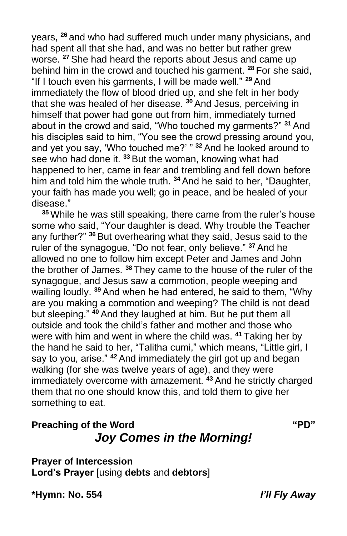years, **<sup>26</sup>** and who had suffered much under many physicians, and had spent all that she had, and was no better but rather grew worse. **<sup>27</sup>** She had heard the reports about Jesus and came up behind him in the crowd and touched his garment. **<sup>28</sup>** For she said, "If I touch even his garments, I will be made well." **<sup>29</sup>** And immediately the flow of blood dried up, and she felt in her body that she was healed of her disease. **<sup>30</sup>** And Jesus, perceiving in himself that power had gone out from him, immediately turned about in the crowd and said, "Who touched my garments?" **<sup>31</sup>** And his disciples said to him, "You see the crowd pressing around you, and yet you say, 'Who touched me?' " **<sup>32</sup>** And he looked around to see who had done it. **<sup>33</sup>** But the woman, knowing what had happened to her, came in fear and trembling and fell down before him and told him the whole truth. **<sup>34</sup>** And he said to her, "Daughter, your faith has made you well; go in peace, and be healed of your disease."

**<sup>35</sup>** While he was still speaking, there came from the ruler's house some who said, "Your daughter is dead. Why trouble the Teacher any further?" **<sup>36</sup>** But overhearing what they said, Jesus said to the ruler of the synagogue, "Do not fear, only believe." **<sup>37</sup>** And he allowed no one to follow him except Peter and James and John the brother of James. **<sup>38</sup>** They came to the house of the ruler of the synagogue, and Jesus saw a commotion, people weeping and wailing loudly. **<sup>39</sup>** And when he had entered, he said to them, "Why are you making a commotion and weeping? The child is not dead but sleeping." **<sup>40</sup>** And they laughed at him. But he put them all outside and took the child's father and mother and those who were with him and went in where the child was. **<sup>41</sup>** Taking her by the hand he said to her, "Talitha cumi," which means, "Little girl, I say to you, arise." <sup>42</sup> And immediately the girl got up and began walking (for she was twelve years of age), and they were immediately overcome with amazement. **<sup>43</sup>** And he strictly charged them that no one should know this, and told them to give her something to eat.

# **Preaching of the Word <b>"PD"**  $PQ''$ *Joy Comes in the Morning!*

**Prayer of Intercession Lord's Prayer** [using **debts** and **debtors**]

**\*Hymn: No. 554** *I'll Fly Away*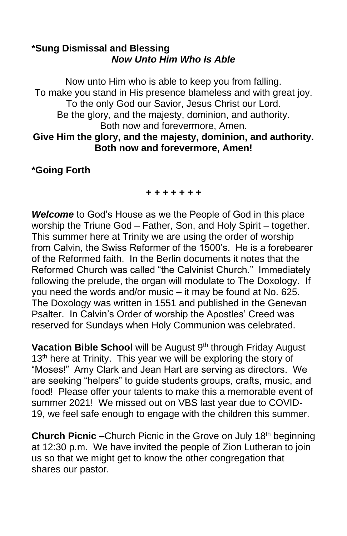#### **\*Sung Dismissal and Blessing** *Now Unto Him Who Is Able*

Now unto Him who is able to keep you from falling. To make you stand in His presence blameless and with great joy. To the only God our Savior, Jesus Christ our Lord. Be the glory, and the majesty, dominion, and authority. Both now and forevermore, Amen. **Give Him the glory, and the majesty, dominion, and authority. Both now and forevermore, Amen!**

### **\*Going Forth**

#### *+ + + + + + +*

*Welcome* to God's House as we the People of God in this place worship the Triune God – Father, Son, and Holy Spirit – together. This summer here at Trinity we are using the order of worship from Calvin, the Swiss Reformer of the 1500's. He is a forebearer of the Reformed faith. In the Berlin documents it notes that the Reformed Church was called "the Calvinist Church." Immediately following the prelude, the organ will modulate to The Doxology. If you need the words and/or music – it may be found at No. 625. The Doxology was written in 1551 and published in the Genevan Psalter. In Calvin's Order of worship the Apostles' Creed was reserved for Sundays when Holy Communion was celebrated.

**Vacation Bible School** will be August 9<sup>th</sup> through Friday August 13<sup>th</sup> here at Trinity. This year we will be exploring the story of "Moses!" Amy Clark and Jean Hart are serving as directors. We are seeking "helpers" to guide students groups, crafts, music, and food! Please offer your talents to make this a memorable event of summer 2021! We missed out on VBS last year due to COVID-19, we feel safe enough to engage with the children this summer.

**Church Picnic –**Church Picnic in the Grove on July 18<sup>th</sup> beginning at 12:30 p.m. We have invited the people of Zion Lutheran to join us so that we might get to know the other congregation that shares our pastor.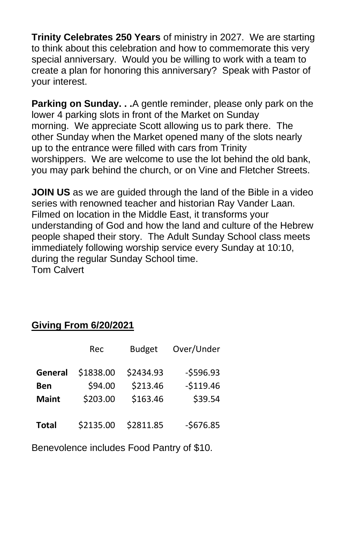**Trinity Celebrates 250 Years** of ministry in 2027. We are starting to think about this celebration and how to commemorate this very special anniversary. Would you be willing to work with a team to create a plan for honoring this anniversary? Speak with Pastor of your interest.

**Parking on Sunday. . .**A gentle reminder, please only park on the lower 4 parking slots in front of the Market on Sunday morning. We appreciate Scott allowing us to park there. The other Sunday when the Market opened many of the slots nearly up to the entrance were filled with cars from Trinity worshippers. We are welcome to use the lot behind the old bank, you may park behind the church, or on Vine and Fletcher Streets.

**JOIN US** as we are guided through the land of the Bible in a video series with renowned teacher and historian Ray Vander Laan. Filmed on location in the Middle East, it transforms your understanding of God and how the land and culture of the Hebrew people shaped their story. The Adult Sunday School class meets immediately following worship service every Sunday at 10:10, during the regular Sunday School time. Tom Calvert

# **Giving From 6/20/2021**

|              | Rec       | <b>Budget</b> | Over/Under |
|--------------|-----------|---------------|------------|
| General      | \$1838.00 | \$2434.93     | $-5596.93$ |
| Ben          | \$94.00   | \$213.46      | $-$119.46$ |
| <b>Maint</b> | \$203.00  | \$163.46      | \$39.54    |
| <b>Total</b> | \$2135.00 | \$2811.85     | $-$676.85$ |

Benevolence includes Food Pantry of \$10.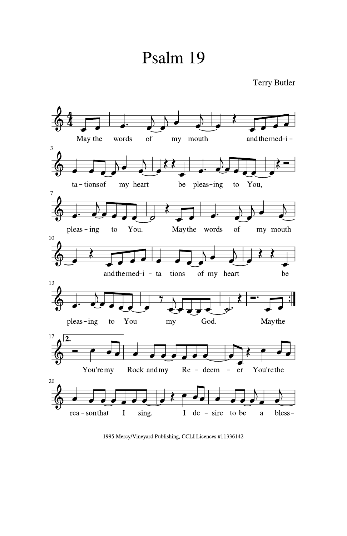# Psalm 19



1995 Mercy/Vineyard Publishing, CCLI Licences #11336142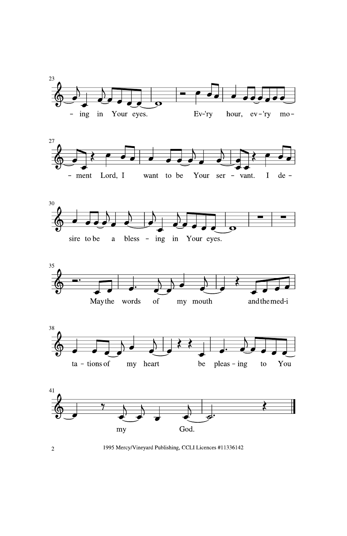











1995 Mercy/Vineyard Publishing, CCLI Licences #11336142

 $\overline{2}$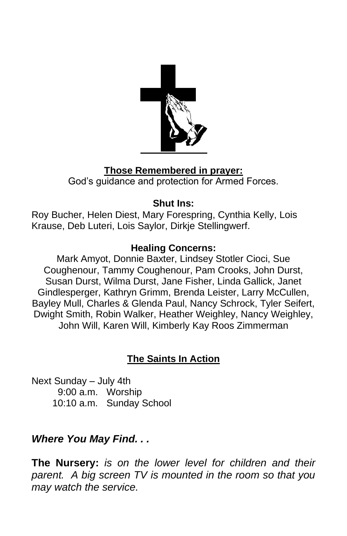

# **Those Remembered in prayer:**

God's guidance and protection for Armed Forces.

### **Shut Ins:**

Roy Bucher, Helen Diest, Mary Forespring, Cynthia Kelly, Lois Krause, Deb Luteri, Lois Saylor, Dirkje Stellingwerf.

# **Healing Concerns:**

Mark Amyot, Donnie Baxter, Lindsey Stotler Cioci, Sue Coughenour, Tammy Coughenour, Pam Crooks, John Durst, Susan Durst, Wilma Durst, Jane Fisher, Linda Gallick, Janet Gindlesperger, Kathryn Grimm, Brenda Leister, Larry McCullen, Bayley Mull, Charles & Glenda Paul, Nancy Schrock, Tyler Seifert, Dwight Smith, Robin Walker, Heather Weighley, Nancy Weighley, John Will, Karen Will, Kimberly Kay Roos Zimmerman

# **The Saints In Action**

Next Sunday – July 4th 9:00 a.m. Worship 10:10 a.m. Sunday School

# *Where You May Find. . .*

**The Nursery:** *is on the lower level for children and their parent. A big screen TV is mounted in the room so that you may watch the service.*